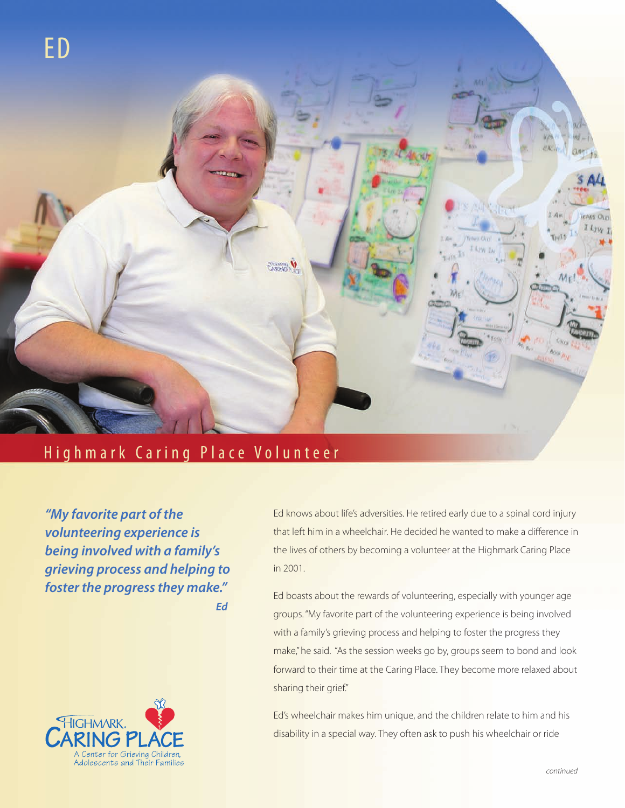

## Highmark Caring Place Volunteer

*"My favorite part of the volunteering experience is being involved with a family's grieving process and helping to foster the progress they make." Ed*



Ed knows about life's adversities. He retired early due to a spinal cord injury that left him in a wheelchair. He decided he wanted to make a difference in the lives of others by becoming a volunteer at the Highmark Caring Place in 2001.

Ed boasts about the rewards of volunteering, especially with younger age groups. "My favorite part of the volunteering experience is being involved with a family's grieving process and helping to foster the progress they make," he said. "As the session weeks go by, groups seem to bond and look forward to their time at the Caring Place. They become more relaxed about sharing their grief."

Ed's wheelchair makes him unique, and the children relate to him and his disability in a special way. They often ask to push his wheelchair or ride